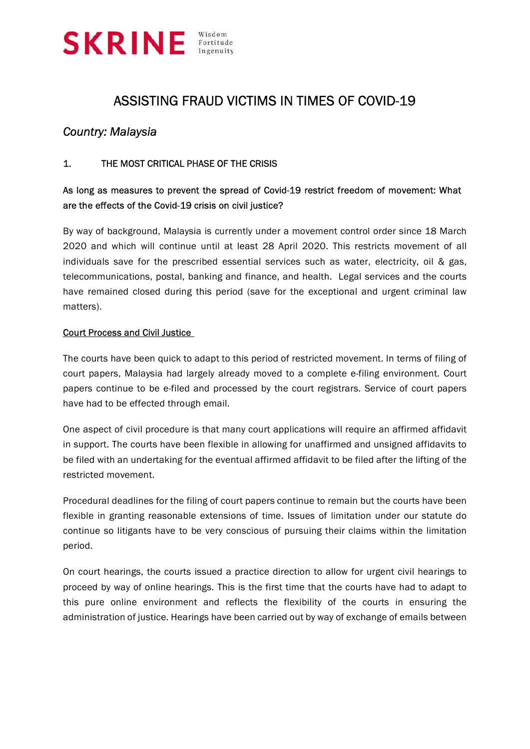

## ASSISTING FRAUD VICTIMS IN TIMES OF COVID-19

## Country: Malaysia

#### 1. THE MOST CRITICAL PHASE OF THE CRISIS

## As long as measures to prevent the spread of Covid-19 restrict freedom of movement: What are the effects of the Covid-19 crisis on civil justice?

By way of background, Malaysia is currently under a movement control order since 18 March 2020 and which will continue until at least 28 April 2020. This restricts movement of all individuals save for the prescribed essential services such as water, electricity, oil & gas, telecommunications, postal, banking and finance, and health. Legal services and the courts have remained closed during this period (save for the exceptional and urgent criminal law matters).

#### Court Process and Civil Justice

The courts have been quick to adapt to this period of restricted movement. In terms of filing of court papers, Malaysia had largely already moved to a complete e-filing environment. Court papers continue to be e-filed and processed by the court registrars. Service of court papers have had to be effected through email.

One aspect of civil procedure is that many court applications will require an affirmed affidavit in support. The courts have been flexible in allowing for unaffirmed and unsigned affidavits to be filed with an undertaking for the eventual affirmed affidavit to be filed after the lifting of the restricted movement.

Procedural deadlines for the filing of court papers continue to remain but the courts have been flexible in granting reasonable extensions of time. Issues of limitation under our statute do continue so litigants have to be very conscious of pursuing their claims within the limitation period.

On court hearings, the courts issued a practice direction to allow for urgent civil hearings to proceed by way of online hearings. This is the first time that the courts have had to adapt to this pure online environment and reflects the flexibility of the courts in ensuring the administration of justice. Hearings have been carried out by way of exchange of emails between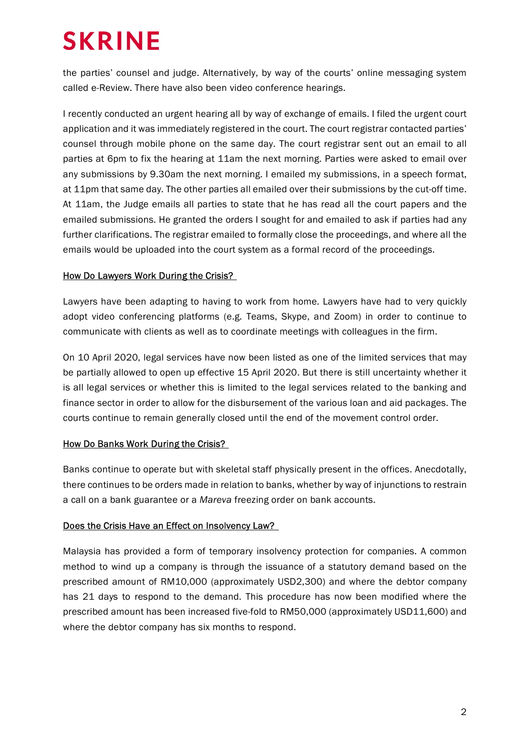# **SKRINE**

the parties' counsel and judge. Alternatively, by way of the courts' online messaging system called e-Review. There have also been video conference hearings.

I recently conducted an urgent hearing all by way of exchange of emails. I filed the urgent court application and it was immediately registered in the court. The court registrar contacted parties' counsel through mobile phone on the same day. The court registrar sent out an email to all parties at 6pm to fix the hearing at 11am the next morning. Parties were asked to email over any submissions by 9.30am the next morning. I emailed my submissions, in a speech format, at 11pm that same day. The other parties all emailed over their submissions by the cut-off time. At 11am, the Judge emails all parties to state that he has read all the court papers and the emailed submissions. He granted the orders I sought for and emailed to ask if parties had any further clarifications. The registrar emailed to formally close the proceedings, and where all the emails would be uploaded into the court system as a formal record of the proceedings.

#### How Do Lawyers Work During the Crisis?

Lawyers have been adapting to having to work from home. Lawyers have had to very quickly adopt video conferencing platforms (e.g. Teams, Skype, and Zoom) in order to continue to communicate with clients as well as to coordinate meetings with colleagues in the firm.

On 10 April 2020, legal services have now been listed as one of the limited services that may be partially allowed to open up effective 15 April 2020. But there is still uncertainty whether it is all legal services or whether this is limited to the legal services related to the banking and finance sector in order to allow for the disbursement of the various loan and aid packages. The courts continue to remain generally closed until the end of the movement control order.

#### How Do Banks Work During the Crisis?

Banks continue to operate but with skeletal staff physically present in the offices. Anecdotally, there continues to be orders made in relation to banks, whether by way of injunctions to restrain a call on a bank guarantee or a Mareva freezing order on bank accounts.

#### Does the Crisis Have an Effect on Insolvency Law?

Malaysia has provided a form of temporary insolvency protection for companies. A common method to wind up a company is through the issuance of a statutory demand based on the prescribed amount of RM10,000 (approximately USD2,300) and where the debtor company has 21 days to respond to the demand. This procedure has now been modified where the prescribed amount has been increased five-fold to RM50,000 (approximately USD11,600) and where the debtor company has six months to respond.